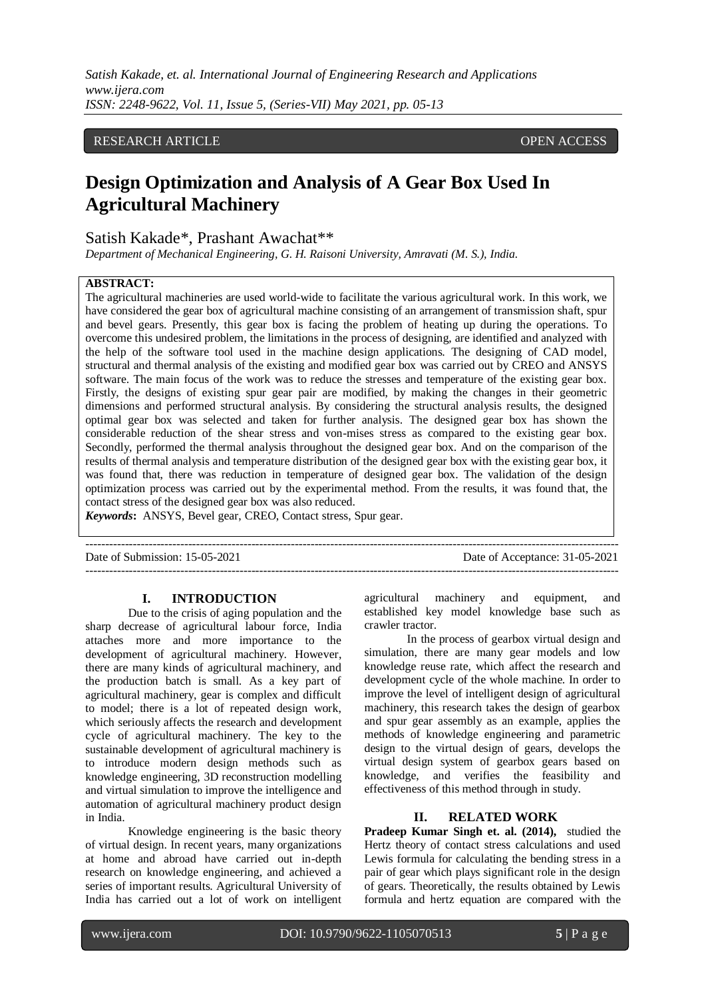## RESEARCH ARTICLE **CONSERVERS** OPEN ACCESS

# **Design Optimization and Analysis of A Gear Box Used In Agricultural Machinery**

Satish Kakade\*, Prashant Awachat\*\*

*Department of Mechanical Engineering, G. H. Raisoni University, Amravati (M. S.), India.*

## **ABSTRACT:**

The agricultural machineries are used world-wide to facilitate the various agricultural work. In this work, we have considered the gear box of agricultural machine consisting of an arrangement of transmission shaft, spur and bevel gears. Presently, this gear box is facing the problem of heating up during the operations. To overcome this undesired problem, the limitations in the process of designing, are identified and analyzed with the help of the software tool used in the machine design applications. The designing of CAD model, structural and thermal analysis of the existing and modified gear box was carried out by CREO and ANSYS software. The main focus of the work was to reduce the stresses and temperature of the existing gear box. Firstly, the designs of existing spur gear pair are modified, by making the changes in their geometric dimensions and performed structural analysis. By considering the structural analysis results, the designed optimal gear box was selected and taken for further analysis. The designed gear box has shown the considerable reduction of the shear stress and von-mises stress as compared to the existing gear box. Secondly, performed the thermal analysis throughout the designed gear box. And on the comparison of the results of thermal analysis and temperature distribution of the designed gear box with the existing gear box, it was found that, there was reduction in temperature of designed gear box. The validation of the design optimization process was carried out by the experimental method. From the results, it was found that, the contact stress of the designed gear box was also reduced.

---------------------------------------------------------------------------------------------------------------------------------------

*Keywords***:** ANSYS, Bevel gear, CREO, Contact stress, Spur gear.

Date of Submission: 15-05-2021 Date of Acceptance: 31-05-2021

---------------------------------------------------------------------------------------------------------------------------------------

#### **I. INTRODUCTION**

Due to the crisis of aging population and the sharp decrease of agricultural labour force, India attaches more and more importance to the development of agricultural machinery. However, there are many kinds of agricultural machinery, and the production batch is small. As a key part of agricultural machinery, gear is complex and difficult to model; there is a lot of repeated design work, which seriously affects the research and development cycle of agricultural machinery. The key to the sustainable development of agricultural machinery is to introduce modern design methods such as knowledge engineering, 3D reconstruction modelling and virtual simulation to improve the intelligence and automation of agricultural machinery product design in India.

Knowledge engineering is the basic theory of virtual design. In recent years, many organizations at home and abroad have carried out in-depth research on knowledge engineering, and achieved a series of important results. Agricultural University of India has carried out a lot of work on intelligent agricultural machinery and equipment, and established key model knowledge base such as crawler tractor.

In the process of gearbox virtual design and simulation, there are many gear models and low knowledge reuse rate, which affect the research and development cycle of the whole machine. In order to improve the level of intelligent design of agricultural machinery, this research takes the design of gearbox and spur gear assembly as an example, applies the methods of knowledge engineering and parametric design to the virtual design of gears, develops the virtual design system of gearbox gears based on knowledge, and verifies the feasibility and effectiveness of this method through in study.

## **II. RELATED WORK**

**Pradeep Kumar Singh et. al. (2014),** studied the Hertz theory of contact stress calculations and used Lewis formula for calculating the bending stress in a pair of gear which plays significant role in the design of gears. Theoretically, the results obtained by Lewis formula and hertz equation are compared with the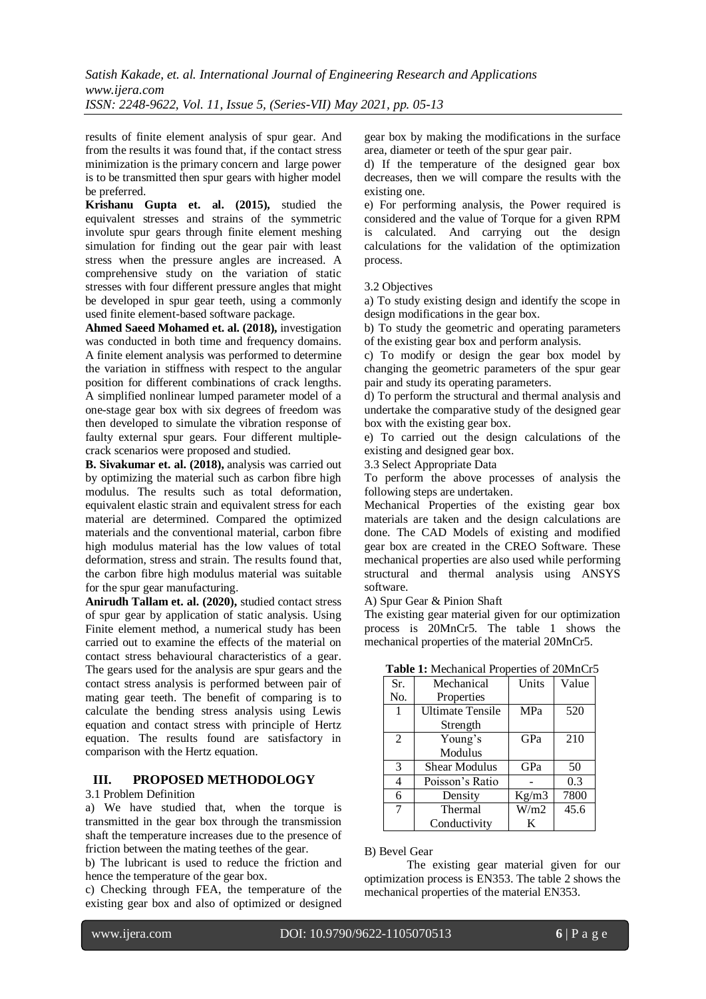results of finite element analysis of spur gear. And from the results it was found that, if the contact stress minimization is the primary concern and large power is to be transmitted then spur gears with higher model be preferred.

**Krishanu Gupta et. al. (2015),** studied the equivalent stresses and strains of the symmetric involute spur gears through finite element meshing simulation for finding out the gear pair with least stress when the pressure angles are increased. A comprehensive study on the variation of static stresses with four different pressure angles that might be developed in spur gear teeth, using a commonly used finite element-based software package.

**Ahmed Saeed Mohamed et. al. (2018),** investigation was conducted in both time and frequency domains. A finite element analysis was performed to determine the variation in stiffness with respect to the angular position for different combinations of crack lengths. A simplified nonlinear lumped parameter model of a one-stage gear box with six degrees of freedom was then developed to simulate the vibration response of faulty external spur gears. Four different multiplecrack scenarios were proposed and studied.

**B. Sivakumar et. al. (2018),** analysis was carried out by optimizing the material such as carbon fibre high modulus. The results such as total deformation, equivalent elastic strain and equivalent stress for each material are determined. Compared the optimized materials and the conventional material, carbon fibre high modulus material has the low values of total deformation, stress and strain. The results found that, the carbon fibre high modulus material was suitable for the spur gear manufacturing.

**Anirudh Tallam et. al. (2020),** studied contact stress of spur gear by application of static analysis. Using Finite element method, a numerical study has been carried out to examine the effects of the material on contact stress behavioural characteristics of a gear. The gears used for the analysis are spur gears and the contact stress analysis is performed between pair of mating gear teeth. The benefit of comparing is to calculate the bending stress analysis using Lewis equation and contact stress with principle of Hertz equation. The results found are satisfactory in comparison with the Hertz equation.

## **III. PROPOSED METHODOLOGY**

## 3.1 Problem Definition

a) We have studied that, when the torque is transmitted in the gear box through the transmission shaft the temperature increases due to the presence of friction between the mating teethes of the gear.

b) The lubricant is used to reduce the friction and hence the temperature of the gear box.

c) Checking through FEA, the temperature of the existing gear box and also of optimized or designed

gear box by making the modifications in the surface area, diameter or teeth of the spur gear pair.

d) If the temperature of the designed gear box decreases, then we will compare the results with the existing one.

e) For performing analysis, the Power required is considered and the value of Torque for a given RPM is calculated. And carrying out the design calculations for the validation of the optimization process.

3.2 Objectives

a) To study existing design and identify the scope in design modifications in the gear box.

b) To study the geometric and operating parameters of the existing gear box and perform analysis.

c) To modify or design the gear box model by changing the geometric parameters of the spur gear pair and study its operating parameters.

d) To perform the structural and thermal analysis and undertake the comparative study of the designed gear box with the existing gear box.

e) To carried out the design calculations of the existing and designed gear box.

3.3 Select Appropriate Data

To perform the above processes of analysis the following steps are undertaken.

Mechanical Properties of the existing gear box materials are taken and the design calculations are done. The CAD Models of existing and modified gear box are created in the CREO Software. These mechanical properties are also used while performing structural and thermal analysis using ANSYS software.

A) Spur Gear & Pinion Shaft

The existing gear material given for our optimization process is 20MnCr5. The table 1 shows the mechanical properties of the material 20MnCr5.

| Sr.          | Mechanical              | Units<br>Value |      |
|--------------|-------------------------|----------------|------|
| No.          | Properties              |                |      |
| $\mathbf{1}$ | <b>Ultimate Tensile</b> | <b>MPa</b>     | 520  |
|              | Strength                |                |      |
| 2            | Young's                 | GPa            | 210  |
|              | Modulus                 |                |      |
| 3            | Shear Modulus           | GPa            | 50   |
| 4            | Poisson's Ratio         |                | 0.3  |
| 6            | Density                 | Kg/m3          | 7800 |
| 7            | Thermal                 | W/m2           | 45.6 |
|              | Conductivity            | K              |      |

**Table 1:** Mechanical Properties of 20MnCr5

B) Bevel Gear

The existing gear material given for our optimization process is EN353. The table 2 shows the mechanical properties of the material EN353.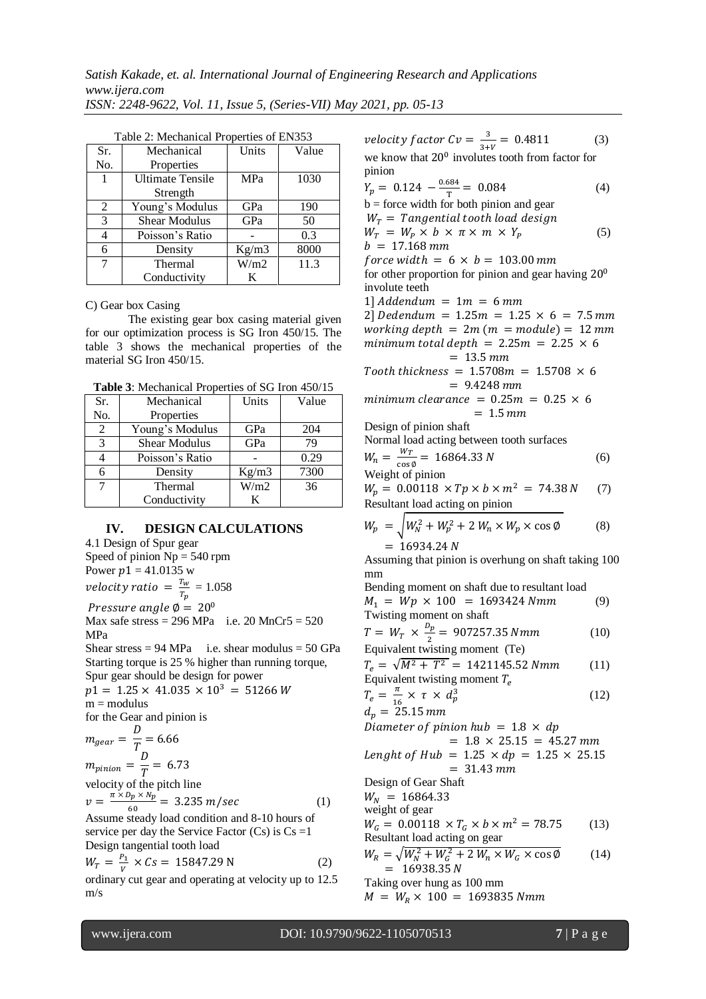| Sr. | Mechanical              | Units      | Value |
|-----|-------------------------|------------|-------|
| No. | Properties              |            |       |
| -1  | <b>Ultimate Tensile</b> | <b>MPa</b> | 1030  |
|     | Strength                |            |       |
| 2   | Young's Modulus         | GPa        | 190   |
| 3   | <b>Shear Modulus</b>    | GPa        | 50    |
|     | Poisson's Ratio         |            | 0.3   |
| 6   | Density                 | Kg/m3      | 8000  |
| 7   | Thermal                 | W/m2       | 11.3  |
|     | Conductivity            | K          |       |

Table 2: Mechanical Properties of EN353

C) Gear box Casing

The existing gear box casing material given for our optimization process is SG Iron 450/15. The table 3 shows the mechanical properties of the material SG Iron 450/15.

**Table 3**: Mechanical Properties of SG Iron 450/15

| Sr. | Mechanical           | Units<br>Value |      |
|-----|----------------------|----------------|------|
| No. | Properties           |                |      |
| 2   | Young's Modulus      | GPa            | 204  |
| 3   | <b>Shear Modulus</b> | GPa            | 79   |
|     | Poisson's Ratio      |                | 0.29 |
| 6   | Density              | Kg/m3          | 7300 |
| 7   | Thermal              | W/m2           | 36   |
|     | Conductivity         | К              |      |

#### **IV. DESIGN CALCULATIONS**

4.1 Design of Spur gear Speed of pinion  $Np = 540$  rpm Power  $p1 = 41.0135$  w velocity ratio  $=\frac{T}{\pi}$  $\frac{I_w}{T_p} = 1.058$ 

Pressure angle  $\phi = 20^{\circ}$ Max safe stress =  $296$  MPa i.e.  $20$  MnCr5 =  $520$ MPa

Shear stress =  $94 \text{ MPa}$  i.e. shear modulus =  $50 \text{ GPa}$ Starting torque is 25 % higher than running torque, Spur gear should be design for power

 $p1 = 1.25 \times 41.035 \times 10^3 = 51266 W$  $m =$  modulus

for the Gear and pinion is  $\mathbf{D}$ 

$$
m_{gear} = \frac{D}{T} = 6.66
$$
  
\n
$$
m_{pinion} = \frac{D}{T} = 6.73
$$
  
\nvelocity of the pitch line  
\n
$$
v = \frac{\pi \times D_p \times N_p}{60} = 3.235 \ m/sec
$$
 (1)

Assume steady load condition and 8-10 hours of service per day the Service Factor  $(Cs)$  is  $Cs =1$ Design tangential tooth load

$$
W_T = \frac{P_1}{V} \times Cs = 15847.29 \text{ N}
$$
 (2)

ordinary cut gear and operating at velocity up to 12.5 m/s

velocity factor  $Cv = \frac{3}{24}$  $\frac{3}{3+V} = 0.4811$  (3)

we know that  $20^0$  involutes tooth from factor for pinion

$$
Y_p = 0.124 - \frac{0.684}{T} = 0.084
$$
 (4)  
b = force width for both pinion and gear  

$$
W_T = Tangential tooth load design
$$

$$
W_T = W_p \times b \times \pi \times m \times Y_p
$$
 (5)

 $b = 17.168 \, \text{mm}$ 

force width =  $6 \times b = 103.00$  mm for other proportion for pinion and gear having  $20^0$ involute teeth

1] Addendum =  $1m = 6$  mm

2] Dedendum =  $1.25m = 1.25 \times 6 = 7.5$  mm working depth =  $2m(m = module) = 12 mm$ minimum total depth =  $2.25m = 2.25 \times 6$  $= 13.5$  mm

$$
Tooth\ thickness = 1.5708m = 1.5708 \times 6
$$

$$
= 9.4248\,mm
$$

$$
minimum \text{ clearance} = 0.25m = 0.25 \times 6
$$

$$
= 1.5 \text{ mm}
$$

Design of pinion shaft

Normal load acting between tooth surfaces  $W_{\mathcal{P}}$ 

$$
W_n = \frac{wr}{\cos \phi} = 16864.33 N
$$
 (6)  
Weight of pinion

$$
W_p = 0.00118 \times Tp \times b \times m^2 = 74.38 N
$$
 (7)  
Resultant load acting on pinion

$$
W_p = \sqrt{W_N^2 + W_p^2 + 2 W_n \times W_p \times \cos \phi}
$$
 (8)  
= 16934.24 N

Assuming that pinion is overhung on shaft taking 100 mm

Bending moment on shaft due to resultant load  $M_1 = Wp \times 100 = 1693424 Nmm$  (9) Twisting moment on shaft

$$
T = W_T \times \frac{p_p}{2} = 907257.35 \text{ Nmm} \tag{10}
$$
  
Equivalent twisting moment (Te)

 $T_e = \sqrt{M^2 + T^2} = 1421145.52 Nmm$  (11) Equivalent twisting moment  $T_e$ 

$$
T_e = \frac{\pi}{16} \times \tau \times d_p^3 \tag{12}
$$

 $d_p = 25.15 \, mm$ Diameter of pinion hub =  $1.8 \times dp$  $= 1.8 \times 25.15 = 45.27 \text{ mm}$  $\overline{L}$ 

length of 
$$
Hub = 1.25 \times dp = 1.25 \times 25.15
$$
  
= 31.43 mm

Design of Gear Shaft

 $W_N = 16864.33$ 

weight of gear

$$
W_G = 0.00118 \times T_G \times b \times m^2 = 78.75
$$
 (13)  
Resultant load acting on gear

$$
W_R = \sqrt{W_N^2 + W_G^2 + 2 W_n \times W_G \times \cos \phi}
$$
 (14)  
= 16938.35 N

Taking over hung as 100 mm

 $M = W_R \times 100 = 1693835 Nmm$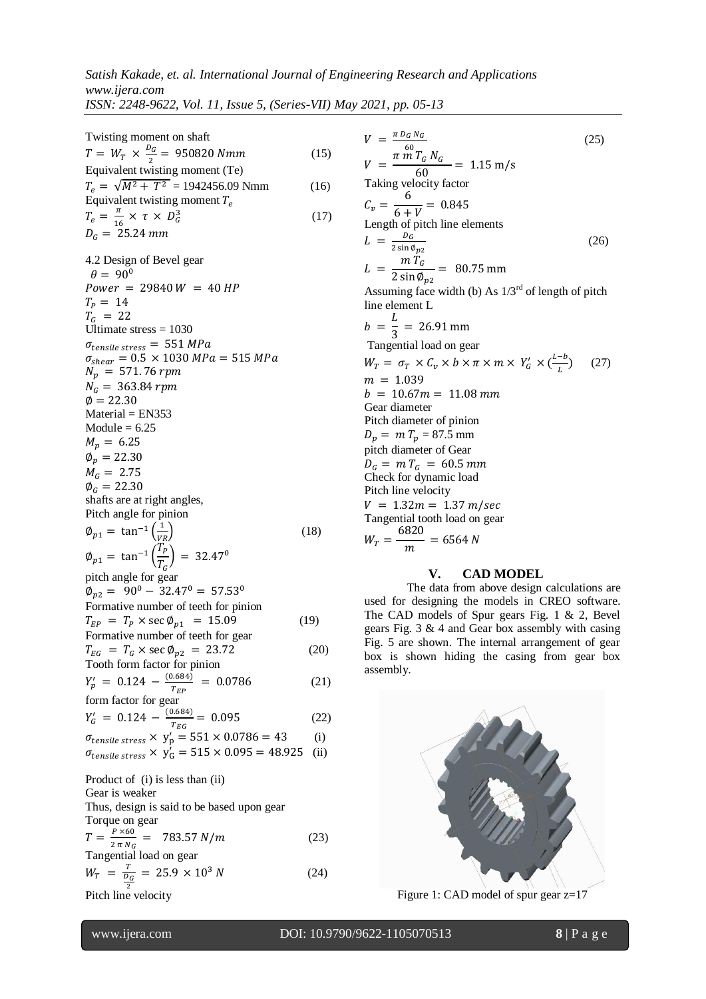Twising moment on shaft  
\nEquivalent twisting moment (Te)  
\nEquivalent working moment T<sub>e</sub>  
\nEquivalent twisting moment T<sub>e</sub>  
\nEquivalent working momentum  
\n
$$
T_e = \sqrt{M^2 + T^2} = 1942456.09
$$
 Nmm  
\nEquivalent twisting moment T<sub>e</sub>  
\n $T_e = \frac{\pi}{6} \times Y = 950820$  Nmm  
\n $T_e = 14$   
\n $T_e = 25.24$  mm  
\n $\theta = 90$   
\n $\theta = 90$   
\n $\theta = 90$   
\n $\theta = 90$   
\n $\theta = 90$   
\n $\theta = 25.30$   
\n $M_p = 52.30$   
\n $M_p = 52.30$   
\n $M_p = 52.30$   
\n $M_p = 52.30$   
\n $M_p = 52.30$   
\n $M_p = 22.30$   
\n $M_p = 22.30$   
\n $M_p = 251.76$  rpm  
\n $M_p = 22.30$   
\n $M_p = 22.30$   
\n $M_p = 22.30$   
\n $M_p = 22.30$   
\n $M_p = 22.30$   
\n $M_p = 22.30$   
\n $M_p = 22.30$   
\n $M_p = 22.30$   
\n $M_p = 22.30$   
\n $M_p = 22.30$   
\n $M_p = 22.30$   
\n $M_p = 22.30$   
\n $M_p = 22.30$   
\n $M_p = 22.30$   
\n $M_p = 22.30$   
\n $M_p = 22.30$   
\n $M_p = 22.30$   
\n $M_p = 22.30$   
\n $M_p = 22.30$   
\n $M_p = 22.30$   
\n $M_p = 22.30$   
\n $M_p = 22.30$ 

$$
W_T = \frac{r}{\frac{D_G}{2}} = 25.9 \times 10^3 N \tag{24}
$$

Pitch line velocity

Figure 1: CAD model of spur gear z=17

(26)

(27)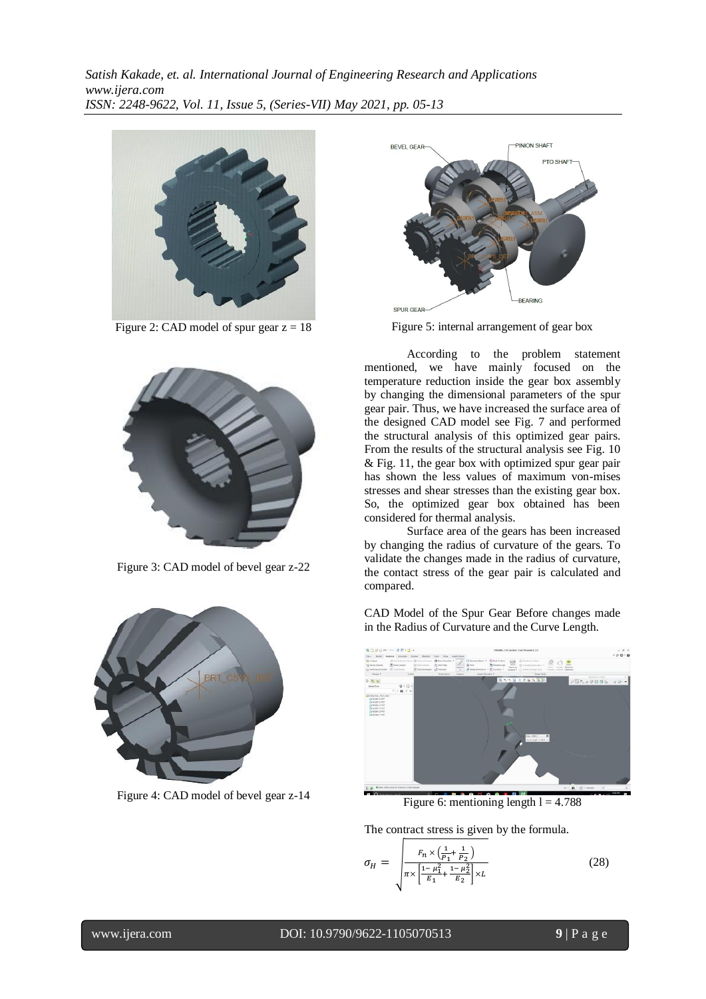

Figure 2: CAD model of spur gear  $z = 18$ 



Figure 3: CAD model of bevel gear z-22



Figure 4: CAD model of bevel gear z-14



Figure 5: internal arrangement of gear box

According to the problem statement mentioned, we have mainly focused on the temperature reduction inside the gear box assembly by changing the dimensional parameters of the spur gear pair. Thus, we have increased the surface area of the designed CAD model see Fig. 7 and performed the structural analysis of this optimized gear pairs. From the results of the structural analysis see Fig. 10 & Fig. 11, the gear box with optimized spur gear pair has shown the less values of maximum von-mises stresses and shear stresses than the existing gear box. So, the optimized gear box obtained has been considered for thermal analysis.

Surface area of the gears has been increased by changing the radius of curvature of the gears. To validate the changes made in the radius of curvature, the contact stress of the gear pair is calculated and compared.

CAD Model of the Spur Gear Before changes made in the Radius of Curvature and the Curve Length.



Figure 6: mentioning length  $l = 4.788$ 

The contract stress is given by the formula.

$$
\sigma_H = \sqrt{\frac{F_n \times (\frac{1}{P_1} + \frac{1}{P_2})}{\pi \times \left[\frac{1 - \mu_1^2}{E_1} + \frac{1 - \mu_2^2}{E_2}\right] \times L}}
$$
(28)

## www.ijera.com DOI: 10.9790/9622-1105070513 **9** | P a g e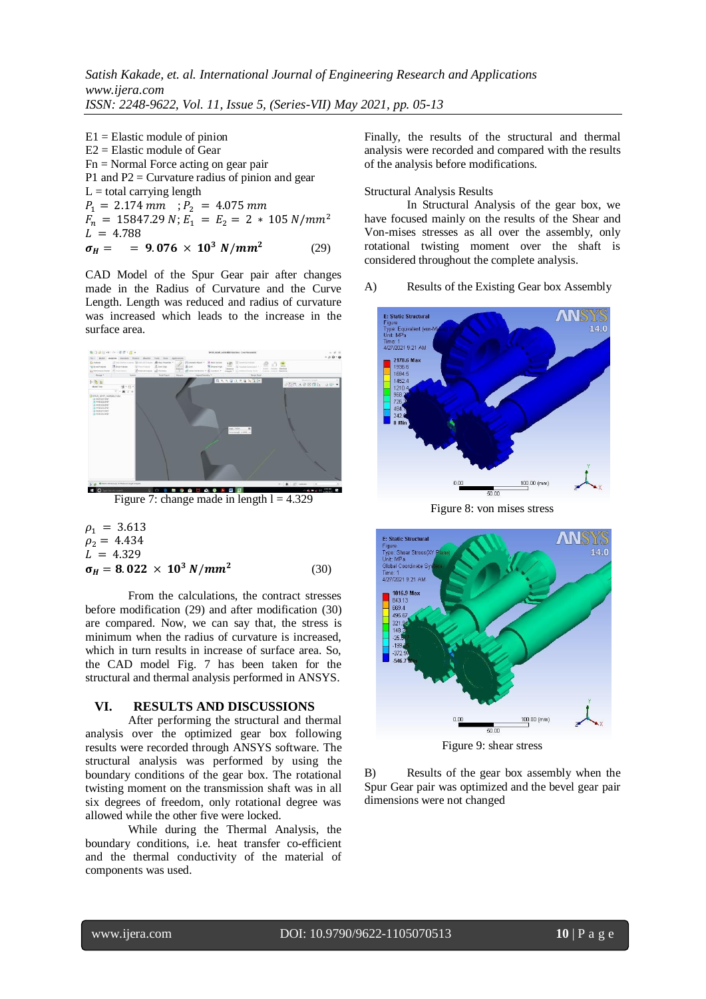$E1 =$ Elastic module of pinion E2 = Elastic module of Gear  $Fn = Normal Force \, acting on \, gear \, pair$ P1 and  $P2 =$  Curvature radius of pinion and gear  $L =$  total carrying length  $P_1 = 2.174 \, mm$  ;  $F_n = 15847.29 N;$  $L = 4.788$  $\sigma_H =$  = 9.076 × 10<sup>3</sup> N/mm<sup>2</sup> (29)

CAD Model of the Spur Gear pair after changes made in the Radius of Curvature and the Curve Length. Length was reduced and radius of curvature was increased which leads to the increase in the surface area.



Figure 7: change made in length  $l = 4.329$ 

$$
\rho_1 = 3.613 \n\rho_2 = 4.434 \nL = 4.329 \n\sigma_H = 8.022 \times 10^3 \text{ N/mm}^2
$$
\n(30)

From the calculations, the contract stresses before modification (29) and after modification (30) are compared. Now, we can say that, the stress is minimum when the radius of curvature is increased, which in turn results in increase of surface area. So, the CAD model Fig. 7 has been taken for the structural and thermal analysis performed in ANSYS.

## **VI. RESULTS AND DISCUSSIONS**

After performing the structural and thermal analysis over the optimized gear box following results were recorded through ANSYS software. The structural analysis was performed by using the boundary conditions of the gear box. The rotational twisting moment on the transmission shaft was in all six degrees of freedom, only rotational degree was allowed while the other five were locked.

While during the Thermal Analysis, the boundary conditions, i.e. heat transfer co-efficient and the thermal conductivity of the material of components was used.

Finally, the results of the structural and thermal analysis were recorded and compared with the results of the analysis before modifications.

#### Structural Analysis Results

In Structural Analysis of the gear box, we have focused mainly on the results of the Shear and Von-mises stresses as all over the assembly, only rotational twisting moment over the shaft is considered throughout the complete analysis.

#### A) Results of the Existing Gear box Assembly



Figure 8: von mises stress



Figure 9: shear stress

B) Results of the gear box assembly when the Spur Gear pair was optimized and the bevel gear pair dimensions were not changed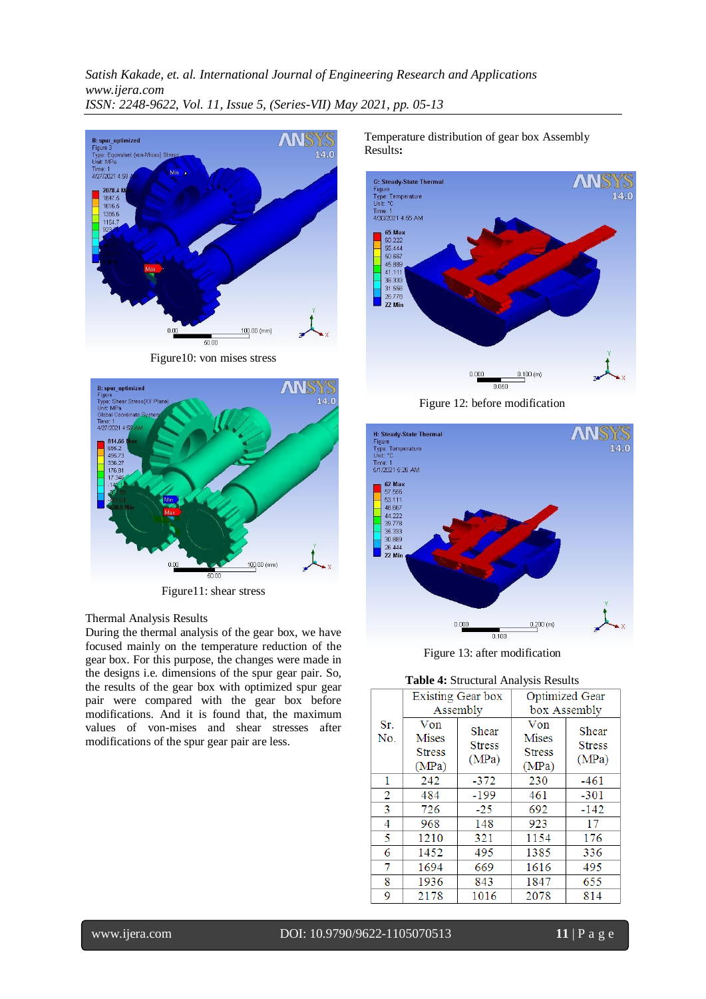

Figure10: von mises stress



Figure11: shear stress

#### Thermal Analysis Results

During the thermal analysis of the gear box, we have focused mainly on the temperature reduction of the gear box. For this purpose, the changes were made in the designs i.e. dimensions of the spur gear pair. So, the results of the gear box with optimized spur gear pair were compared with the gear box before modifications. And it is found that, the maximum values of von-mises and shear stresses after modifications of the spur gear pair are less.

Temperature distribution of gear box Assembly Results**:**



Figure 12: before modification



Figure 13: after modification

#### **Table 4:** Structural Analysis Results

|                | Existing Gear box                             |                                 | <b>Optimized Gear</b>                         |                                 |
|----------------|-----------------------------------------------|---------------------------------|-----------------------------------------------|---------------------------------|
|                |                                               | Assembly                        |                                               | box Assembly                    |
| Sr.<br>No.     | Von<br><b>Mises</b><br><b>Stress</b><br>(MPa) | Shear<br><b>Stress</b><br>(MPa) | Von<br><b>Mises</b><br><b>Stress</b><br>(MPa) | Shear<br><b>Stress</b><br>(MPa) |
| 1              | 242                                           | $-372$                          | 230                                           | $-461$                          |
| $\overline{2}$ | 484                                           | $-199$                          | 461                                           | $-301$                          |
| 3              | 726                                           | $-25$                           | 692                                           | $-142$                          |
| 4              | 968                                           | 148                             | 923                                           | 17                              |
| 5              | 1210                                          | 321                             | 1154                                          | 176                             |
| 6              | 1452                                          | 495                             | 1385                                          | 336                             |
| 7              | 1694                                          | 669                             | 1616                                          | 495                             |
| 8              | 1936                                          | 843                             | 1847                                          | 655                             |
| 9              | 2178                                          | 1016                            | 2078                                          | 814                             |

www.ijera.com DOI: 10.9790/9622-1105070513 **11** | P a g e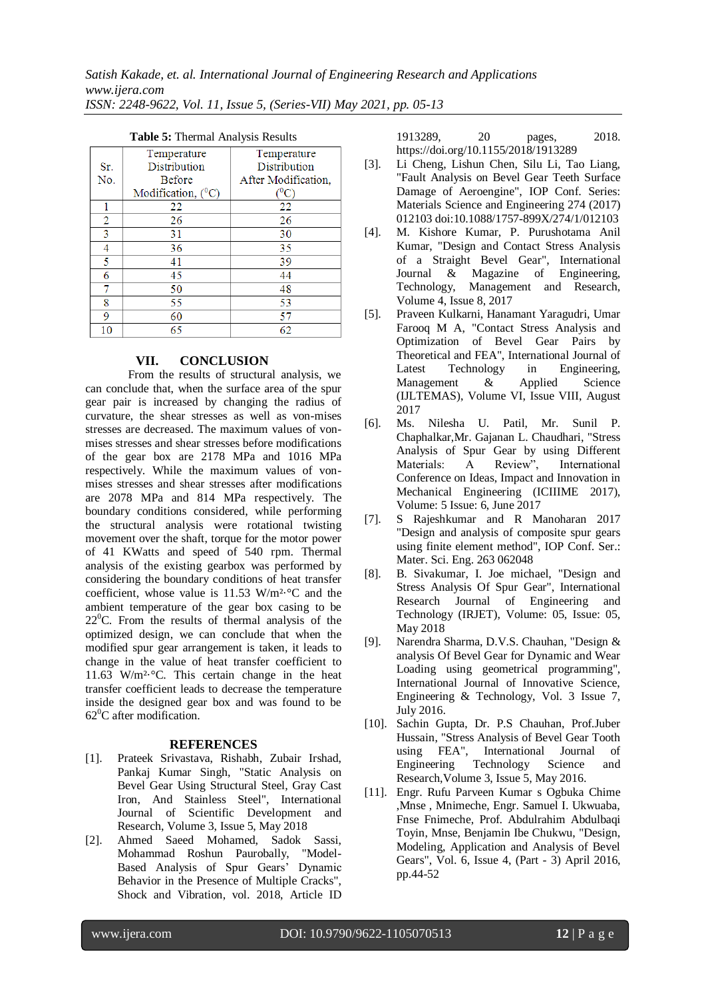| $\ldots$       |                         |                     |
|----------------|-------------------------|---------------------|
|                | Temperature             | Temperature         |
| Sr.            | Distribution            | <b>Distribution</b> |
| No.            | <b>Before</b>           | After Modification, |
|                | Modification, $(^{0}C)$ | $(^{0}\mathrm{C})$  |
|                | 22                      | 22                  |
| $\overline{2}$ | 26                      | 26                  |
| 3              | 31                      | 30                  |
| 4              | 36                      | 35                  |
| 5              | 41                      | 39                  |
| 6              | 45                      | 44                  |
| 7              | 50                      | 48                  |
| 8              | 55                      | 53                  |
| 9              | 60                      | 57                  |
| 10             | 65                      | 62                  |

#### **Table 5:** Thermal Analysis Results

# **VII. CONCLUSION**

From the results of structural analysis, we can conclude that, when the surface area of the spur gear pair is increased by changing the radius of curvature, the shear stresses as well as von-mises stresses are decreased. The maximum values of vonmises stresses and shear stresses before modifications of the gear box are 2178 MPa and 1016 MPa respectively. While the maximum values of vonmises stresses and shear stresses after modifications are 2078 MPa and 814 MPa respectively. The boundary conditions considered, while performing the structural analysis were rotational twisting movement over the shaft, torque for the motor power of 41 KWatts and speed of 540 rpm. Thermal analysis of the existing gearbox was performed by considering the boundary conditions of heat transfer coefficient, whose value is 11.53 W/m²·°C and the ambient temperature of the gear box casing to be  $22^{\circ}$ C. From the results of thermal analysis of the optimized design, we can conclude that when the modified spur gear arrangement is taken, it leads to change in the value of heat transfer coefficient to 11.63 W/m²·°C. This certain change in the heat transfer coefficient leads to decrease the temperature inside the designed gear box and was found to be  $62^0$ C after modification.

#### **REFERENCES**

- [1]. Prateek Srivastava, Rishabh, Zubair Irshad, Pankaj Kumar Singh, "Static Analysis on Bevel Gear Using Structural Steel, Gray Cast Iron, And Stainless Steel", International Journal of Scientific Development and Research, Volume 3, Issue 5, May 2018
- [2]. Ahmed Saeed Mohamed, Sadok Sassi, Mohammad Roshun Paurobally, "Model-Based Analysis of Spur Gears' Dynamic Behavior in the Presence of Multiple Cracks", Shock and Vibration, vol. 2018, Article ID

1913289, 20 pages, 2018. https://doi.org/10.1155/2018/1913289

- [3]. Li Cheng, Lishun Chen, Silu Li, Tao Liang, "Fault Analysis on Bevel Gear Teeth Surface Damage of Aeroengine", IOP Conf. Series: Materials Science and Engineering 274 (2017) 012103 doi:10.1088/1757-899X/274/1/012103
- [4]. M. Kishore Kumar, P. Purushotama Anil Kumar, "Design and Contact Stress Analysis of a Straight Bevel Gear", International Journal & Magazine of Engineering, Technology, Management and Research, Volume 4, Issue 8, 2017
- [5]. Praveen Kulkarni, Hanamant Yaragudri, Umar Farooq M A, "Contact Stress Analysis and Optimization of Bevel Gear Pairs by Theoretical and FEA", International Journal of Latest Technology in Engineering, Management & Applied Science (IJLTEMAS), Volume VI, Issue VIII, August 2017
- [6]. Ms. Nilesha U. Patil, Mr. Sunil P. Chaphalkar,Mr. Gajanan L. Chaudhari, "Stress Analysis of Spur Gear by using Different Materials: A Review", International Conference on Ideas, Impact and Innovation in Mechanical Engineering (ICIIIME 2017), Volume: 5 Issue: 6, June 2017
- [7]. S Rajeshkumar and R Manoharan 2017 "Design and analysis of composite spur gears using finite element method", IOP Conf. Ser.: Mater. Sci. Eng. 263 062048
- [8]. B. Sivakumar, I. Joe michael, "Design and Stress Analysis Of Spur Gear", International Research Journal of Engineering and Technology (IRJET), Volume: 05, Issue: 05, May 2018
- [9]. Narendra Sharma, D.V.S. Chauhan, "Design & analysis Of Bevel Gear for Dynamic and Wear Loading using geometrical programming", International Journal of Innovative Science, Engineering & Technology, Vol. 3 Issue 7, July 2016.
- [10]. Sachin Gupta, Dr. P.S Chauhan, Prof.Juber Hussain, "Stress Analysis of Bevel Gear Tooth using FEA", International Journal of Engineering Technology Science and Research,Volume 3, Issue 5, May 2016.
- [11]. Engr. Rufu Parveen Kumar s Ogbuka Chime ,Mnse , Mnimeche, Engr. Samuel I. Ukwuaba, Fnse Fnimeche, Prof. Abdulrahim Abdulbaqi Toyin, Mnse, Benjamin Ibe Chukwu, "Design, Modeling, Application and Analysis of Bevel Gears", Vol. 6, Issue 4, (Part - 3) April 2016, pp.44-52